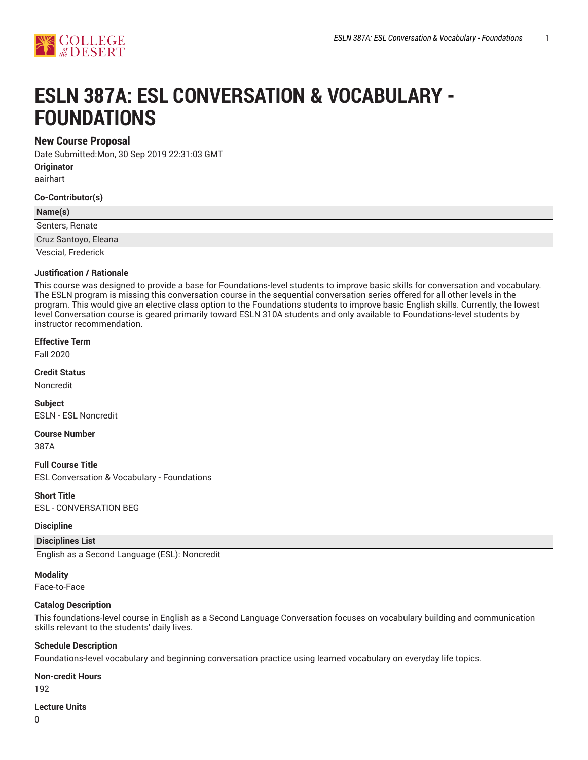



# **ESLN 387A: ESL CONVERSATION & VOCABULARY - FOUNDATIONS**

# **New Course Proposal**

Date Submitted:Mon, 30 Sep 2019 22:31:03 GMT

**Originator** aairhart

**Co-Contributor(s)**

## **Name(s)**

Senters, Renate

Cruz Santoyo, Eleana

Vescial, Frederick

## **Justification / Rationale**

This course was designed to provide a base for Foundations-level students to improve basic skills for conversation and vocabulary. The ESLN program is missing this conversation course in the sequential conversation series offered for all other levels in the program. This would give an elective class option to the Foundations students to improve basic English skills. Currently, the lowest level Conversation course is geared primarily toward ESLN 310A students and only available to Foundations-level students by instructor recommendation.

## **Effective Term**

Fall 2020

#### **Credit Status**

Noncredit

**Subject** ESLN - ESL Noncredit

## **Course Number**

387A

**Full Course Title** ESL Conversation & Vocabulary - Foundations

**Short Title** ESL - CONVERSATION BEG

## **Discipline**

## **Disciplines List**

English as a Second Language (ESL): Noncredit

## **Modality**

Face-to-Face

## **Catalog Description**

This foundations-level course in English as a Second Language Conversation focuses on vocabulary building and communication skills relevant to the students' daily lives.

## **Schedule Description**

Foundations-level vocabulary and beginning conversation practice using learned vocabulary on everyday life topics.

## **Non-credit Hours**

192

#### **Lecture Units**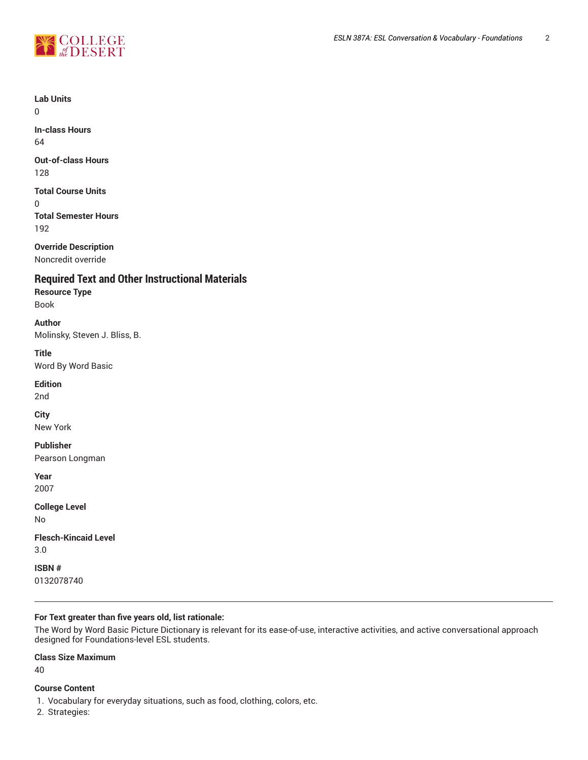

**Lab Units**

0

**In-class Hours** 64

**Out-of-class Hours** 128

# **Total Course Units**

 $\Omega$ **Total Semester Hours** 192

**Override Description**

Noncredit override

# **Required Text and Other Instructional Materials**

# **Resource Type**

Book

# **Author**

Molinsky, Steven J. Bliss, B.

# **Title**

Word By Word Basic

# **Edition**

2nd

# **City**

New York

# **Publisher**

Pearson Longman

**Year** 2007

**College Level** No

**Flesch-Kincaid Level** 3.0

**ISBN #** 0132078740

# **For Text greater than five years old, list rationale:**

The Word by Word Basic Picture Dictionary is relevant for its ease-of-use, interactive activities, and active conversational approach designed for Foundations-level ESL students.

# **Class Size Maximum**

40

# **Course Content**

1. Vocabulary for everyday situations, such as food, clothing, colors, etc.

2. Strategies: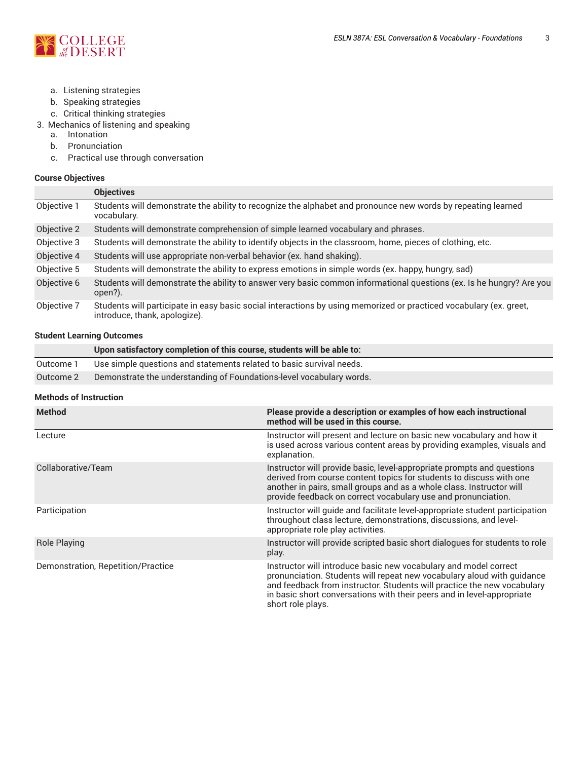

- a. Listening strategies
- b. Speaking strategies
- c. Critical thinking strategies
- 3. Mechanics of listening and speaking
	- a. Intonation
	- b. Pronunciation
	- c. Practical use through conversation

# **Course Objectives**

|             | <b>Objectives</b>                                                                                                                                   |
|-------------|-----------------------------------------------------------------------------------------------------------------------------------------------------|
| Objective 1 | Students will demonstrate the ability to recognize the alphabet and pronounce new words by repeating learned<br>vocabulary.                         |
| Objective 2 | Students will demonstrate comprehension of simple learned vocabulary and phrases.                                                                   |
| Objective 3 | Students will demonstrate the ability to identify objects in the classroom, home, pieces of clothing, etc.                                          |
| Objective 4 | Students will use appropriate non-verbal behavior (ex. hand shaking).                                                                               |
| Objective 5 | Students will demonstrate the ability to express emotions in simple words (ex. happy, hungry, sad)                                                  |
| Objective 6 | Students will demonstrate the ability to answer very basic common informational questions (ex. Is he hungry? Are you<br>open?).                     |
| Objective 7 | Students will participate in easy basic social interactions by using memorized or practiced vocabulary (ex. greet,<br>introduce, thank, apologize). |

## **Student Learning Outcomes**

|           | Upon satisfactory completion of this course, students will be able to: |
|-----------|------------------------------------------------------------------------|
| Outcome 1 | Use simple questions and statements related to basic survival needs.   |
| Outcome 2 | Demonstrate the understanding of Foundations-level vocabulary words.   |

## **Methods of Instruction**

| <b>Method</b>                      | Please provide a description or examples of how each instructional<br>method will be used in this course.                                                                                                                                                                                                            |
|------------------------------------|----------------------------------------------------------------------------------------------------------------------------------------------------------------------------------------------------------------------------------------------------------------------------------------------------------------------|
| Lecture                            | Instructor will present and lecture on basic new vocabulary and how it<br>is used across various content areas by providing examples, visuals and<br>explanation.                                                                                                                                                    |
| Collaborative/Team                 | Instructor will provide basic, level-appropriate prompts and questions<br>derived from course content topics for students to discuss with one<br>another in pairs, small groups and as a whole class. Instructor will<br>provide feedback on correct vocabulary use and pronunciation.                               |
| Participation                      | Instructor will guide and facilitate level-appropriate student participation<br>throughout class lecture, demonstrations, discussions, and level-<br>appropriate role play activities.                                                                                                                               |
| <b>Role Playing</b>                | Instructor will provide scripted basic short dialogues for students to role<br>play.                                                                                                                                                                                                                                 |
| Demonstration, Repetition/Practice | Instructor will introduce basic new vocabulary and model correct<br>pronunciation. Students will repeat new vocabulary aloud with quidance<br>and feedback from instructor. Students will practice the new vocabulary<br>in basic short conversations with their peers and in level-appropriate<br>short role plays. |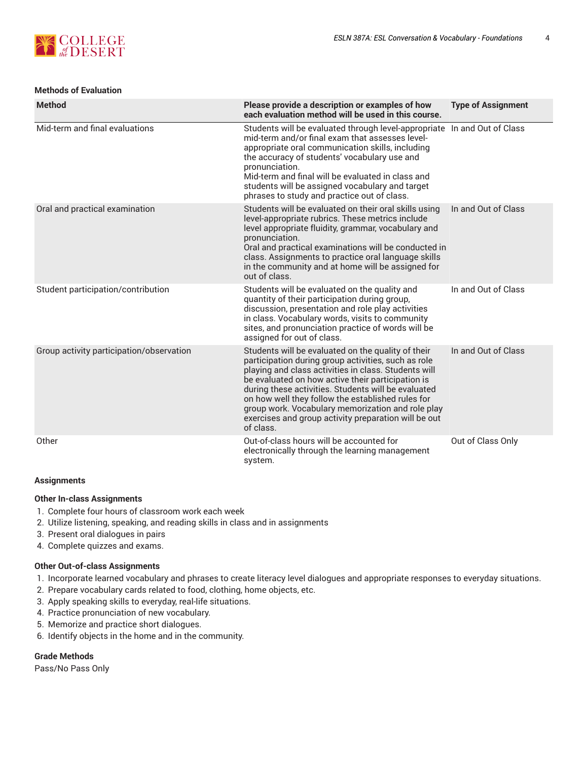

# **Methods of Evaluation**

| <b>Method</b>                            | Please provide a description or examples of how<br>each evaluation method will be used in this course.                                                                                                                                                                                                                                                                                                                                                       | <b>Type of Assignment</b> |
|------------------------------------------|--------------------------------------------------------------------------------------------------------------------------------------------------------------------------------------------------------------------------------------------------------------------------------------------------------------------------------------------------------------------------------------------------------------------------------------------------------------|---------------------------|
| Mid-term and final evaluations           | Students will be evaluated through level-appropriate In and Out of Class<br>mid-term and/or final exam that assesses level-<br>appropriate oral communication skills, including<br>the accuracy of students' vocabulary use and<br>pronunciation.<br>Mid-term and final will be evaluated in class and<br>students will be assigned vocabulary and target<br>phrases to study and practice out of class.                                                     |                           |
| Oral and practical examination           | Students will be evaluated on their oral skills using<br>level-appropriate rubrics. These metrics include<br>level appropriate fluidity, grammar, vocabulary and<br>pronunciation.<br>Oral and practical examinations will be conducted in<br>class. Assignments to practice oral language skills<br>in the community and at home will be assigned for<br>out of class.                                                                                      | In and Out of Class       |
| Student participation/contribution       | Students will be evaluated on the quality and<br>quantity of their participation during group,<br>discussion, presentation and role play activities<br>in class. Vocabulary words, visits to community<br>sites, and pronunciation practice of words will be<br>assigned for out of class.                                                                                                                                                                   | In and Out of Class       |
| Group activity participation/observation | Students will be evaluated on the quality of their<br>participation during group activities, such as role<br>playing and class activities in class. Students will<br>be evaluated on how active their participation is<br>during these activities. Students will be evaluated<br>on how well they follow the established rules for<br>group work. Vocabulary memorization and role play<br>exercises and group activity preparation will be out<br>of class. | In and Out of Class       |
| Other                                    | Out-of-class hours will be accounted for<br>electronically through the learning management<br>system.                                                                                                                                                                                                                                                                                                                                                        | Out of Class Only         |

# **Assignments**

## **Other In-class Assignments**

- 1. Complete four hours of classroom work each week
- 2. Utilize listening, speaking, and reading skills in class and in assignments
- 3. Present oral dialogues in pairs
- 4. Complete quizzes and exams.

## **Other Out-of-class Assignments**

- 1. Incorporate learned vocabulary and phrases to create literacy level dialogues and appropriate responses to everyday situations.
- 2. Prepare vocabulary cards related to food, clothing, home objects, etc.
- 3. Apply speaking skills to everyday, real-life situations.
- 4. Practice pronunciation of new vocabulary.
- 5. Memorize and practice short dialogues.
- 6. Identify objects in the home and in the community.

## **Grade Methods**

Pass/No Pass Only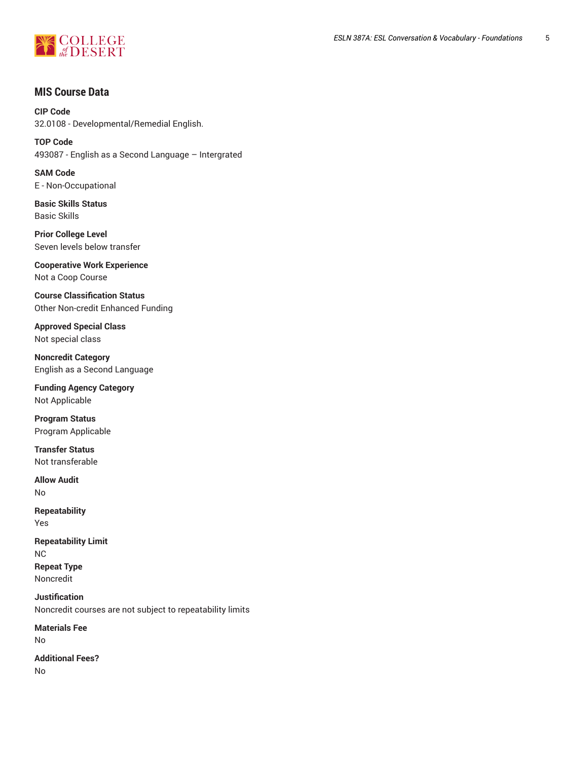

# **MIS Course Data**

**CIP Code** 32.0108 - Developmental/Remedial English.

**TOP Code** 493087 - English as a Second Language – Intergrated

**SAM Code** E - Non-Occupational

**Basic Skills Status** Basic Skills

**Prior College Level** Seven levels below transfer

**Cooperative Work Experience** Not a Coop Course

**Course Classification Status** Other Non-credit Enhanced Funding

**Approved Special Class** Not special class

**Noncredit Category** English as a Second Language

**Funding Agency Category** Not Applicable

**Program Status** Program Applicable

**Transfer Status** Not transferable

**Allow Audit** No

**Repeatability** Yes

**Repeatability Limit** NC **Repeat Type** Noncredit

**Justification** Noncredit courses are not subject to repeatability limits

**Materials Fee** No

**Additional Fees?**

No